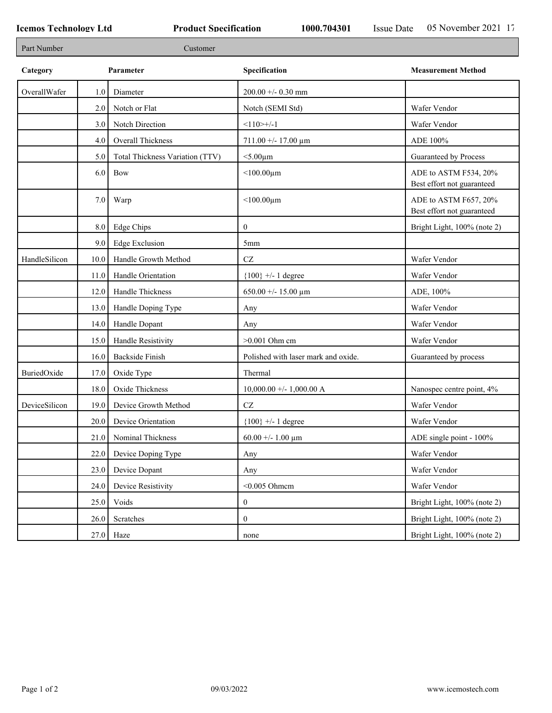| Part Number   |           | Customer                        |                                     |                                                     |
|---------------|-----------|---------------------------------|-------------------------------------|-----------------------------------------------------|
| Category      | Parameter |                                 | Specification                       | <b>Measurement Method</b>                           |
| OverallWafer  | 1.0       | Diameter                        | $200.00 + -0.30$ mm                 |                                                     |
|               | 2.0       | Notch or Flat                   | Notch (SEMI Std)                    | Wafer Vendor                                        |
|               | 3.0       | Notch Direction                 | $<110>+/-1$                         | Wafer Vendor                                        |
|               | 4.0       | Overall Thickness               | $711.00 + - 17.00 \mu m$            | ADE 100%                                            |
|               | 5.0       | Total Thickness Variation (TTV) | $<$ 5.00 $\mu$ m                    | Guaranteed by Process                               |
|               | 6.0       | Bow                             | $<$ 100.00 $\mu$ m                  | ADE to ASTM F534, 20%<br>Best effort not guaranteed |
|               | 7.0       | Warp                            | $<$ 100.00 $\mu$ m                  | ADE to ASTM F657, 20%<br>Best effort not guaranteed |
|               | 8.0       | Edge Chips                      | $\mathbf{0}$                        | Bright Light, 100% (note 2)                         |
|               | 9.0       | <b>Edge Exclusion</b>           | 5mm                                 |                                                     |
| HandleSilicon | 10.0      | Handle Growth Method            | $\operatorname{CZ}$                 | Wafer Vendor                                        |
|               | 11.0      | Handle Orientation              | ${100}$ +/- 1 degree                | Wafer Vendor                                        |
|               | 12.0      | Handle Thickness                | 650.00 +/- 15.00 $\mu$ m            | ADE, 100%                                           |
|               | 13.0      | Handle Doping Type              | Any                                 | Wafer Vendor                                        |
|               | 14.0      | Handle Dopant                   | Any                                 | Wafer Vendor                                        |
|               | 15.0      | Handle Resistivity              | $>0.001$ Ohm cm                     | Wafer Vendor                                        |
|               | 16.0      | <b>Backside Finish</b>          | Polished with laser mark and oxide. | Guaranteed by process                               |
| BuriedOxide   | 17.0      | Oxide Type                      | Thermal                             |                                                     |
|               | 18.0      | Oxide Thickness                 | $10,000.00 +/- 1,000.00 A$          | Nanospec centre point, 4%                           |
| DeviceSilicon | 19.0      | Device Growth Method            | $\operatorname{CZ}$                 | Wafer Vendor                                        |
|               | 20.0      | Device Orientation              | ${100}$ +/- 1 degree                | Wafer Vendor                                        |
|               | 21.0      | Nominal Thickness               | 60.00 +/- 1.00 $\mu$ m              | ADE single point - 100%                             |
|               | 22.0      | Device Doping Type              | Any                                 | Wafer Vendor                                        |
|               | 23.0      | Device Dopant                   | Any                                 | Wafer Vendor                                        |
|               | 24.0      | Device Resistivity              | $<$ 0.005 Ohmem                     | Wafer Vendor                                        |
|               | 25.0      | Voids                           | $\mathbf{0}$                        | Bright Light, 100% (note 2)                         |
|               | 26.0      | Scratches                       | $\mathbf{0}$                        | Bright Light, 100% (note 2)                         |
|               | 27.0      | Haze                            | none                                | Bright Light, 100% (note 2)                         |